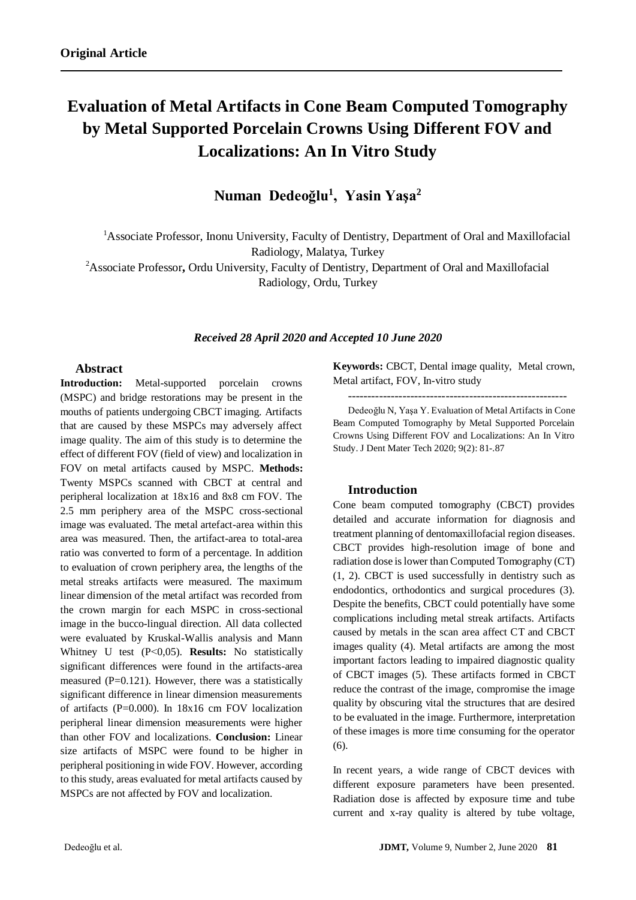# **Evaluation of Metal Artifacts in Cone Beam Computed Tomography by Metal Supported Porcelain Crowns Using Different FOV and Localizations: An In Vitro Study**

**Numan Dedeoğlu<sup>1</sup> , Yasin Yaşa<sup>2</sup>**

<sup>1</sup>Associate Professor, Inonu University, Faculty of Dentistry, Department of Oral and Maxillofacial Radiology, Malatya, Turkey

<sup>2</sup>Associate Professor**,** Ordu University, Faculty of Dentistry, Department of Oral and Maxillofacial Radiology, Ordu, Turkey

## *Received 28 April 2020 and Accepted 10 June 2020*

# **Abstract**

**Introduction:** Metal-supported porcelain crowns (MSPC) and bridge restorations may be present in the mouths of patients undergoing CBCT imaging. Artifacts that are caused by these MSPCs may adversely affect image quality. The aim of this study is to determine the effect of different FOV (field of view) and localization in FOV on metal artifacts caused by MSPC. **Methods:** Twenty MSPCs scanned with CBCT at central and peripheral localization at 18x16 and 8x8 cm FOV. The 2.5 mm periphery area of the MSPC cross-sectional image was evaluated. The metal artefact-area within this area was measured. Then, the artifact-area to total-area ratio was converted to form of a percentage. In addition to evaluation of crown periphery area, the lengths of the metal streaks artifacts were measured. The maximum linear dimension of the metal artifact was recorded from the crown margin for each MSPC in cross-sectional image in the bucco-lingual direction. All data collected were evaluated by Kruskal-Wallis analysis and Mann Whitney U test (P˂0,05). **Results:** No statistically significant differences were found in the artifacts-area measured  $(P=0.121)$ . However, there was a statistically significant difference in linear dimension measurements of artifacts (P=0.000). In 18x16 cm FOV localization peripheral linear dimension measurements were higher than other FOV and localizations. **Conclusion:** Linear size artifacts of MSPC were found to be higher in peripheral positioning in wide FOV. However, according to this study, areas evaluated for metal artifacts caused by MSPCs are not affected by FOV and localization.

**Keywords:** CBCT, Dental image quality, Metal crown, Metal artifact, FOV, In-vitro study

--------------------------------------------------------

Dedeoğlu N, Yaşa Y. Evaluation of Metal Artifacts in Cone Beam Computed Tomography by Metal Supported Porcelain Crowns Using Different FOV and Localizations: An In Vitro Study. J Dent Mater Tech 2020; 9(2): 81-.87

## **Introduction**

Cone beam computed tomography (CBCT) provides detailed and accurate information for diagnosis and treatment planning of dentomaxillofacial region diseases. CBCT provides high-resolution image of bone and radiation dose is lower than Computed Tomography (CT) (1, 2). CBCT is used successfully in dentistry such as endodontics, orthodontics and surgical procedures (3). Despite the benefits, CBCT could potentially have some complications including metal streak artifacts. Artifacts caused by metals in the scan area affect CT and CBCT images quality (4). Metal artifacts are among the most important factors leading to impaired diagnostic quality of CBCT images (5). These artifacts formed in CBCT reduce the contrast of the image, compromise the image quality by obscuring vital the structures that are desired to be evaluated in the image. Furthermore, interpretation of these images is more time consuming for the operator (6).

In recent years, a wide range of CBCT devices with different exposure parameters have been presented. Radiation dose is affected by exposure time and tube current and x-ray quality is altered by tube voltage,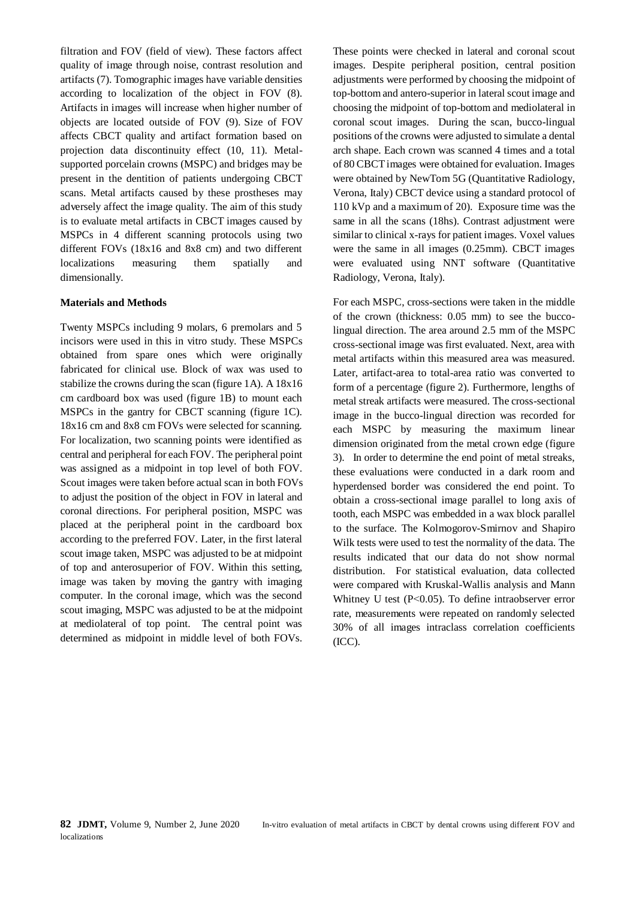filtration and FOV (field of view). These factors affect quality of image through noise, contrast resolution and artifacts (7). Tomographic images have variable densities according to localization of the object in FOV (8). Artifacts in images will increase when higher number of objects are located outside of FOV (9). Size of FOV affects CBCT quality and artifact formation based on projection data discontinuity effect (10, 11). Metalsupported porcelain crowns (MSPC) and bridges may be present in the dentition of patients undergoing CBCT scans. Metal artifacts caused by these prostheses may adversely affect the image quality. The aim of this study is to evaluate metal artifacts in CBCT images caused by MSPCs in 4 different scanning protocols using two different FOVs (18x16 and 8x8 cm) and two different localizations measuring them spatially and dimensionally.

## **Materials and Methods**

Twenty MSPCs including 9 molars, 6 premolars and 5 incisors were used in this in vitro study. These MSPCs obtained from spare ones which were originally fabricated for clinical use. Block of wax was used to stabilize the crowns during the scan (figure 1A). A 18x16 cm cardboard box was used (figure 1B) to mount each MSPCs in the gantry for CBCT scanning (figure 1C). 18x16 cm and 8x8 cm FOVs were selected for scanning. For localization, two scanning points were identified as central and peripheral for each FOV. The peripheral point was assigned as a midpoint in top level of both FOV. Scout images were taken before actual scan in both FOVs to adjust the position of the object in FOV in lateral and coronal directions. For peripheral position, MSPC was placed at the peripheral point in the cardboard box according to the preferred FOV. Later, in the first lateral scout image taken, MSPC was adjusted to be at midpoint of top and anterosuperior of FOV. Within this setting, image was taken by moving the gantry with imaging computer. In the coronal image, which was the second scout imaging, MSPC was adjusted to be at the midpoint at mediolateral of top point. The central point was determined as midpoint in middle level of both FOVs. These points were checked in lateral and coronal scout images. Despite peripheral position, central position adjustments were performed by choosing the midpoint of top-bottom and antero-superior in lateral scout image and choosing the midpoint of top-bottom and mediolateral in coronal scout images. During the scan, bucco-lingual positions of the crowns were adjusted to simulate a dental arch shape. Each crown was scanned 4 times and a total of 80 CBCT images were obtained for evaluation. Images were obtained by NewTom 5G (Quantitative Radiology, Verona, Italy) CBCT device using a standard protocol of 110 kVp and a maximum of 20). Exposure time was the same in all the scans (18hs). Contrast adjustment were similar to clinical x-rays for patient images. Voxel values were the same in all images (0.25mm). CBCT images were evaluated using NNT software (Quantitative Radiology, Verona, Italy).

For each MSPC, cross-sections were taken in the middle of the crown (thickness: 0.05 mm) to see the buccolingual direction. The area around 2.5 mm of the MSPC cross-sectional image was first evaluated. Next, area with metal artifacts within this measured area was measured. Later, artifact-area to total-area ratio was converted to form of a percentage (figure 2). Furthermore, lengths of metal streak artifacts were measured. The cross-sectional image in the bucco-lingual direction was recorded for each MSPC by measuring the maximum linear dimension originated from the metal crown edge (figure 3). In order to determine the end point of metal streaks, these evaluations were conducted in a dark room and hyperdensed border was considered the end point. To obtain a cross-sectional image parallel to long axis of tooth, each MSPC was embedded in a wax block parallel to the surface. The Kolmogorov-Smirnov and Shapiro Wilk tests were used to test the normality of the data. The results indicated that our data do not show normal distribution. For statistical evaluation, data collected were compared with Kruskal-Wallis analysis and Mann Whitney U test (P˂0.05). To define intraobserver error rate, measurements were repeated on randomly selected 30% of all images intraclass correlation coefficients (ICC).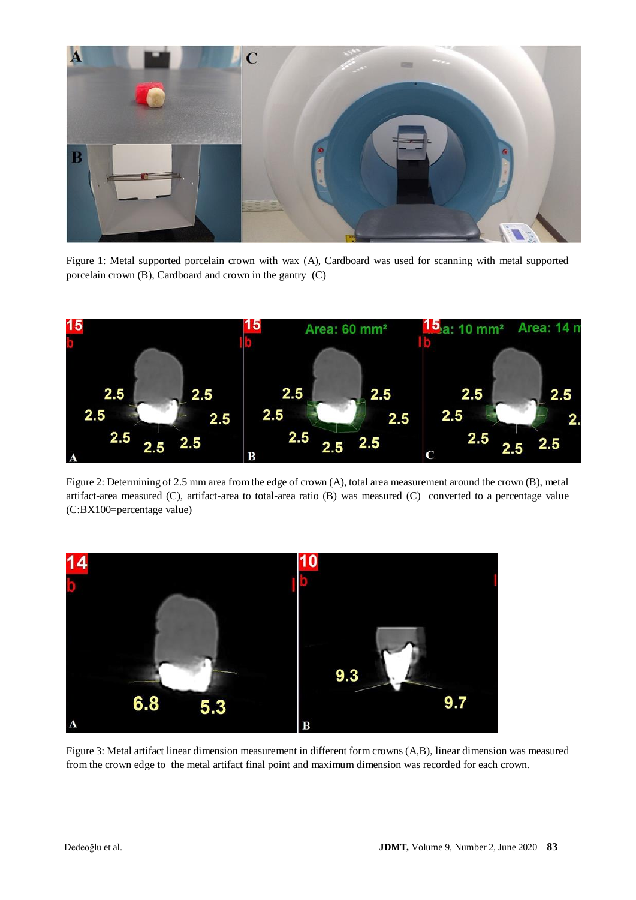

Figure 1: Metal supported porcelain crown with wax (A), Cardboard was used for scanning with metal supported porcelain crown (B), Cardboard and crown in the gantry (C)



Figure 2: Determining of 2.5 mm area from the edge of crown (A), total area measurement around the crown (B), metal artifact-area measured (C), artifact-area to total-area ratio (B) was measured (C) converted to a percentage value (C:BX100=percentage value)



Figure 3: Metal artifact linear dimension measurement in different form crowns (A,B), linear dimension was measured from the crown edge to the metal artifact final point and maximum dimension was recorded for each crown.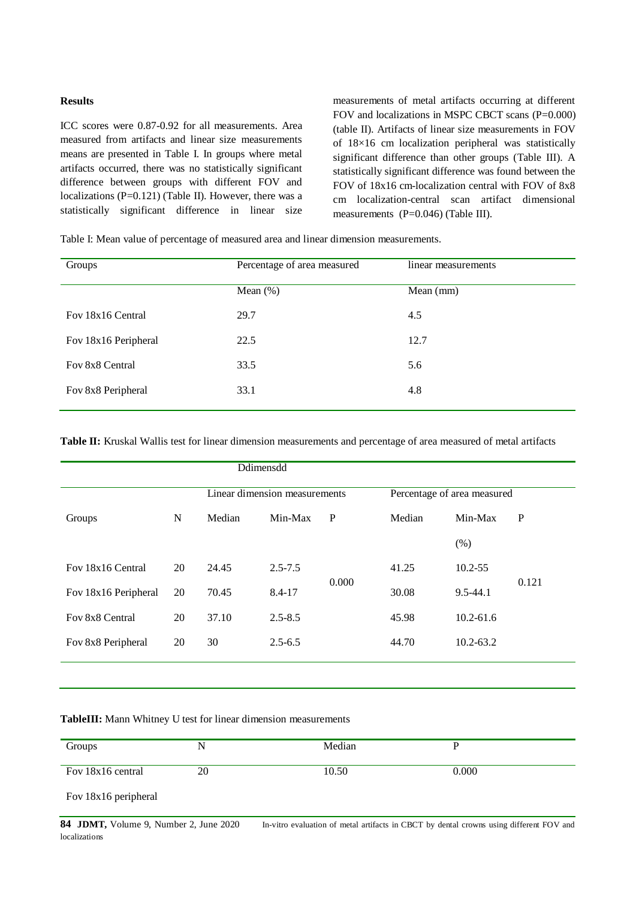## **Results**

ICC scores were 0.87-0.92 for all measurements. Area measured from artifacts and linear size measurements means are presented in Table I. In groups where metal artifacts occurred, there was no statistically significant difference between groups with different FOV and localizations (P=0.121) (Table II). However, there was a statistically significant difference in linear size

measurements of metal artifacts occurring at different FOV and localizations in MSPC CBCT scans (P=0.000) (table II). Artifacts of linear size measurements in FOV of 18×16 cm localization peripheral was statistically significant difference than other groups (Table III). A statistically significant difference was found between the FOV of 18x16 cm-localization central with FOV of 8x8 cm localization-central scan artifact dimensional measurements (P=0.046) (Table III).

Table I: Mean value of percentage of measured area and linear dimension measurements.

| Groups               | Percentage of area measured | linear measurements |  |
|----------------------|-----------------------------|---------------------|--|
|                      | Mean $(\%)$                 | Mean $(mm)$         |  |
| Fov 18x16 Central    | 29.7                        | 4.5                 |  |
| Fov 18x16 Peripheral | 22.5                        | 12.7                |  |
| Fov 8x8 Central      | 33.5                        | 5.6                 |  |
| Fov 8x8 Peripheral   | 33.1                        | 4.8                 |  |

**Table II:** Kruskal Wallis test for linear dimension measurements and percentage of area measured of metal artifacts

| Ddimensdd            |    |                               |             |              |                             |               |       |
|----------------------|----|-------------------------------|-------------|--------------|-----------------------------|---------------|-------|
|                      |    | Linear dimension measurements |             |              | Percentage of area measured |               |       |
| Groups               | N  | Median                        | Min-Max     | $\mathbf{P}$ | Median                      | Min-Max       | P     |
|                      |    |                               |             |              |                             | (% )          |       |
| Fov 18x16 Central    | 20 | 24.45                         | $2.5 - 7.5$ |              | 41.25                       | $10.2 - 55$   |       |
| Fov 18x16 Peripheral | 20 | 70.45                         | 8.4-17      | 0.000        | 30.08                       | $9.5 - 44.1$  | 0.121 |
| Fov 8x8 Central      | 20 | 37.10                         | $2.5 - 8.5$ |              | 45.98                       | $10.2 - 61.6$ |       |
| Fov 8x8 Peripheral   | 20 | 30                            | $2.5 - 6.5$ |              | 44.70                       | $10.2 - 63.2$ |       |
|                      |    |                               |             |              |                             |               |       |

**TableIII:** Mann Whitney U test for linear dimension measurements

| Groups               | N  | Median | D     |
|----------------------|----|--------|-------|
| Fov 18x16 central    | 20 | 10.50  | 0.000 |
| Fov 18x16 peripheral |    |        |       |

84 JDMT, Volume 9, Number 2, June 2020 In-vitro evaluation of metal artifacts in CBCT by dental crowns using different FOV and localizations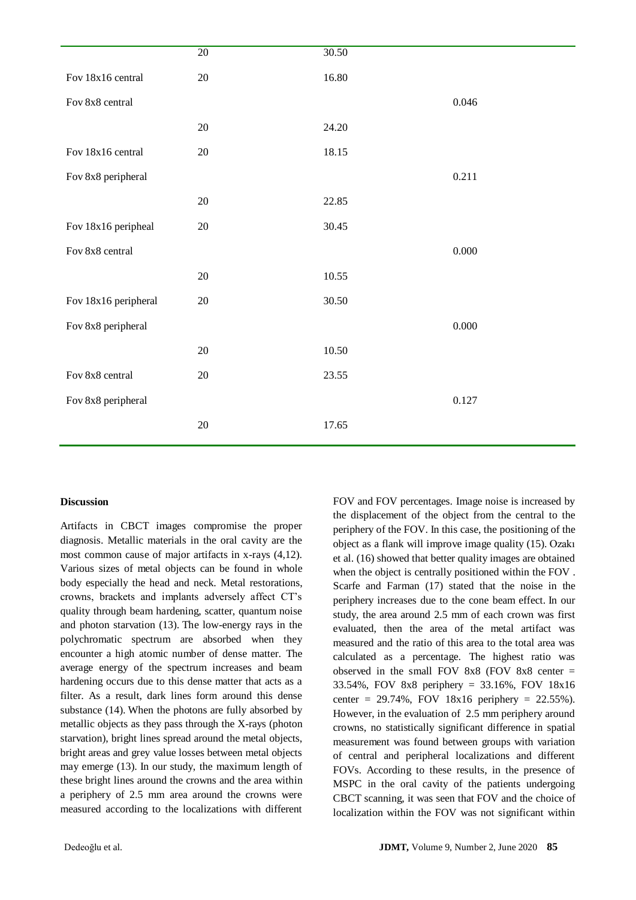|                      | $\overline{20}$ | 30.50 |           |
|----------------------|-----------------|-------|-----------|
| Fov 18x16 central    | $20\,$          | 16.80 |           |
| Fov 8x8 central      |                 |       | 0.046     |
|                      | 20              | 24.20 |           |
| Fov 18x16 central    | 20              | 18.15 |           |
| Fov 8x8 peripheral   |                 |       | 0.211     |
|                      | 20              | 22.85 |           |
| Fov 18x16 peripheal  | 20              | 30.45 |           |
| Fov 8x8 central      |                 |       | $0.000\,$ |
|                      | $20\,$          | 10.55 |           |
| Fov 18x16 peripheral | 20              | 30.50 |           |
| Fov 8x8 peripheral   |                 |       | $0.000\,$ |
|                      | 20              | 10.50 |           |
| Fov 8x8 central      | $20\,$          | 23.55 |           |
| Fov 8x8 peripheral   |                 |       | 0.127     |
|                      | $20\,$          | 17.65 |           |

## **Discussion**

Artifacts in CBCT images compromise the proper diagnosis. Metallic materials in the oral cavity are the most common cause of major artifacts in x-rays (4,12). Various sizes of metal objects can be found in whole body especially the head and neck. Metal restorations, crowns, brackets and implants adversely affect CT's quality through beam hardening, scatter, quantum noise and photon starvation (13). The low-energy rays in the polychromatic spectrum are absorbed when they encounter a high atomic number of dense matter. The average energy of the spectrum increases and beam hardening occurs due to this dense matter that acts as a filter. As a result, dark lines form around this dense substance (14). When the photons are fully absorbed by metallic objects as they pass through the X-rays (photon starvation), bright lines spread around the metal objects, bright areas and grey value losses between metal objects may emerge (13). In our study, the maximum length of these bright lines around the crowns and the area within a periphery of 2.5 mm area around the crowns were measured according to the localizations with different

FOV and FOV percentages. Image noise is increased by the displacement of the object from the central to the periphery of the FOV. In this case, the positioning of the object as a flank will improve image quality (15). Ozakı et al. (16) showed that better quality images are obtained when the object is centrally positioned within the FOV . Scarfe and Farman (17) stated that the noise in the periphery increases due to the cone beam effect. In our study, the area around 2.5 mm of each crown was first evaluated, then the area of the metal artifact was measured and the ratio of this area to the total area was calculated as a percentage. The highest ratio was observed in the small FOV 8x8 (FOV 8x8 center = 33.54%, FOV 8x8 periphery = 33.16%, FOV 18x16 center =  $29.74\%$ , FOV 18x16 periphery =  $22.55\%$ ). However, in the evaluation of 2.5 mm periphery around crowns, no statistically significant difference in spatial measurement was found between groups with variation of central and peripheral localizations and different FOVs. According to these results, in the presence of MSPC in the oral cavity of the patients undergoing CBCT scanning, it was seen that FOV and the choice of localization within the FOV was not significant within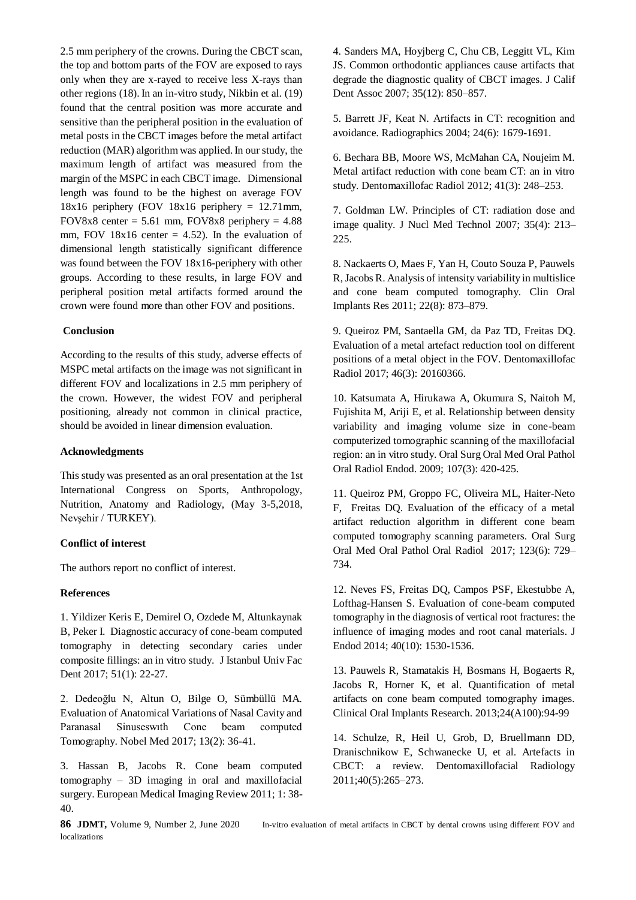2.5 mm periphery of the crowns. During the CBCT scan, the top and bottom parts of the FOV are exposed to rays only when they are x-rayed to receive less X-rays than other regions (18). In an in-vitro study, Nikbin et al. (19) found that the central position was more accurate and sensitive than the peripheral position in the evaluation of metal posts in the CBCT images before the metal artifact reduction (MAR) algorithm was applied. In our study, the maximum length of artifact was measured from the margin of the MSPC in each CBCT image. Dimensional length was found to be the highest on average FOV  $18x16$  periphery (FOV  $18x16$  periphery = 12.71 mm, FOV8x8 center =  $5.61$  mm, FOV8x8 periphery =  $4.88$ mm, FOV 18x16 center  $= 4.52$ ). In the evaluation of dimensional length statistically significant difference was found between the FOV 18x16-periphery with other groups. According to these results, in large FOV and peripheral position metal artifacts formed around the crown were found more than other FOV and positions.

## **Conclusion**

According to the results of this study, adverse effects of MSPC metal artifacts on the image was not significant in different FOV and localizations in 2.5 mm periphery of the crown. However, the widest FOV and peripheral positioning, already not common in clinical practice, should be avoided in linear dimension evaluation.

## **Acknowledgments**

This study was presented as an oral presentation at the 1st International Congress on Sports, Anthropology, Nutrition, Anatomy and Radiology, (May 3-5,2018, Nevşehir / TURKEY).

## **Conflict of interest**

The authors report no conflict of interest.

#### **References**

1. Yildizer Keris E, Demirel O, Ozdede M, Altunkaynak B, Peker I. Diagnostic accuracy of cone-beam computed tomography in detecting secondary caries under composite fillings: an in vitro study. J Istanbul Univ Fac Dent 2017; 51(1): 22-27.

2. Dedeoğlu N, Altun O, Bilge O, Sümbüllü MA. Evaluation of Anatomical Variations of Nasal Cavity and Paranasal Sinuseswıth Cone beam computed Tomography. Nobel Med 2017; 13(2): 36-41.

3. Hassan B, Jacobs R. Cone beam computed tomography – 3D imaging in oral and maxillofacial surgery. European Medical Imaging Review 2011; 1: 38- 40.

4. Sanders MA, Hoyjberg C, Chu CB, Leggitt VL, Kim JS. Common orthodontic appliances cause artifacts that degrade the diagnostic quality of CBCT images. J Calif Dent Assoc 2007; 35(12): 850–857.

5. Barrett JF, Keat N. Artifacts in CT: recognition and avoidance. Radiographics 2004; 24(6): 1679-1691.

6. Bechara BB, Moore WS, McMahan CA, Noujeim M. Metal artifact reduction with cone beam CT: an in vitro study. Dentomaxillofac Radiol 2012; 41(3): 248–253.

7. Goldman LW. Principles of CT: radiation dose and image quality. J Nucl Med Technol 2007; 35(4): 213– 225.

8. Nackaerts O, Maes F, Yan H, Couto Souza P, Pauwels R, Jacobs R. Analysis of intensity variability in multislice and cone beam computed tomography. Clin Oral Implants Res 2011; 22(8): 873–879.

9. Queiroz PM, Santaella GM, da Paz TD, Freitas DQ. Evaluation of a metal artefact reduction tool on different positions of a metal object in the FOV. Dentomaxillofac Radiol 2017; 46(3): 20160366.

10. Katsumata A, Hirukawa A, Okumura S, Naitoh M, Fujishita M, Ariji E, et al. Relationship between density variability and imaging volume size in cone-beam computerized tomographic scanning of the maxillofacial region: an in vitro study. Oral Surg Oral Med Oral Pathol Oral Radiol Endod. 2009; 107(3): 420-425.

11. Queiroz PM, Groppo FC, Oliveira ML, Haiter-Neto F, Freitas DQ. Evaluation of the efficacy of a metal artifact reduction algorithm in different cone beam computed tomography scanning parameters. Oral Surg Oral Med Oral Pathol Oral Radiol 2017; 123(6): 729– 734.

12. Neves FS, Freitas DQ, Campos PSF, Ekestubbe A, Lofthag-Hansen S. Evaluation of cone-beam computed tomography in the diagnosis of vertical root fractures: the influence of imaging modes and root canal materials. J Endod 2014; 40(10): 1530-1536.

13. Pauwels R, Stamatakis H, Bosmans H, Bogaerts R, Jacobs R, Horner K, et al. Quantification of metal artifacts on cone beam computed tomography images. Clinical Oral Implants Research. 2013;24(A100):94-99

14. Schulze, R, Heil U, Grob, D, Bruellmann DD, Dranischnikow E, Schwanecke U, et al. Artefacts in CBCT: a review. Dentomaxillofacial Radiology 2011;40(5):265–273.

localizations

**86 JDMT,** Volume 9, Number 2, June 2020 In-vitro evaluation of metal artifacts in CBCT by dental crowns using different FOV and